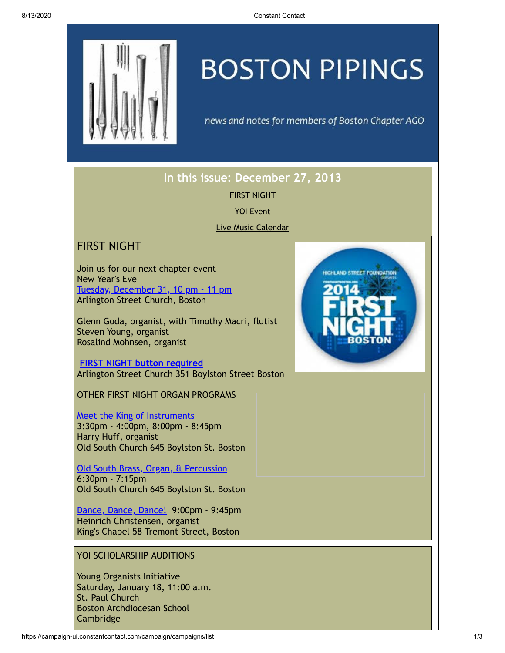

# **BOSTON PIPINGS**

news and notes for members of Boston Chapter AGO

## **In this issue: December 27, 2013**

FIRST [NIGHT](#page-0-0)

YOI [Event](#page-0-1)

Live Music [Calendar](#page-2-0)

## <span id="page-0-0"></span>FIRST NIGHT

Join us for our next chapter event New Year's Eve Tuesday, [December](http://sched.co/JaxUxN) 31, 10 pm - 11 pm Arlington Street Church, Boston

Glenn Goda, organist, with Timothy Macri, flutist Steven Young, organist Rosalind Mohnsen, organist

**FIRST NIGHT button [required](http://www.firstnightboston.org/page.php?title=button)** Arlington Street Church 351 Boylston Street Boston

OTHER FIRST NIGHT ORGAN PROGRAMS

**Meet the King of [Instruments](http://sched.co/1b27K6w)** 3:30pm - 4:00pm, 8:00pm - 8:45pm Harry Huff, organist Old South Church 645 Boylston St. Boston

Old South Brass, Organ, & [Percussion](http://sched.co/1b27dSa) 6:30pm - 7:15pm Old South Church 645 Boylston St. Boston

[Dance,](http://firstnightboston2014.sched.org/event/7826cecfa1feca4438924fbec4d3320f?iframe=no&w=100&sidebar=yes&bg=dark#.Ur2pHfRUeSo) Dance, Dance! 9:00pm - 9:45pm Heinrich Christensen, organist King's Chapel 58 Tremont Street, Boston

#### <span id="page-0-1"></span>YOI SCHOLARSHIP AUDITIONS

Young Organists Initiative Saturday, January 18, 11:00 a.m. St. Paul Church Boston Archdiocesan School Cambridge

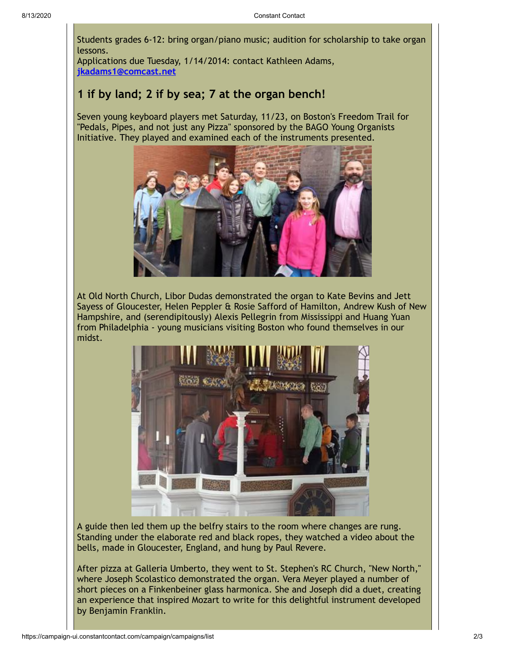Students grades 6-12: bring organ/piano music; audition for scholarship to take organ lessons.

Applications due Tuesday, 1/14/2014: contact Kathleen Adams, **[jkadams1@comcast.net](mailto:jkadams1@comcast.net)**

#### **1 if by land; 2 if by sea; 7 at the organ bench!**

Seven young keyboard players met Saturday, 11/23, on Boston's Freedom Trail for "Pedals, Pipes, and not just any Pizza" sponsored by the BAGO Young Organists Initiative. They played and examined each of the instruments presented.



At Old North Church, Libor Dudas demonstrated the organ to Kate Bevins and Jett Sayess of Gloucester, Helen Peppler & Rosie Safford of Hamilton, Andrew Kush of New Hampshire, and (serendipitously) Alexis Pellegrin from Mississippi and Huang Yuan from Philadelphia - young musicians visiting Boston who found themselves in our midst.



A guide then led them up the belfry stairs to the room where changes are rung. Standing under the elaborate red and black ropes, they watched a video about the bells, made in Gloucester, England, and hung by Paul Revere.

After pizza at Galleria Umberto, they went to St. Stephen's RC Church, "New North," where Joseph Scolastico demonstrated the organ. Vera Meyer played a number of short pieces on a Finkenbeiner glass harmonica. She and Joseph did a duet, creating an experience that inspired Mozart to write for this delightful instrument developed by Benjamin Franklin.